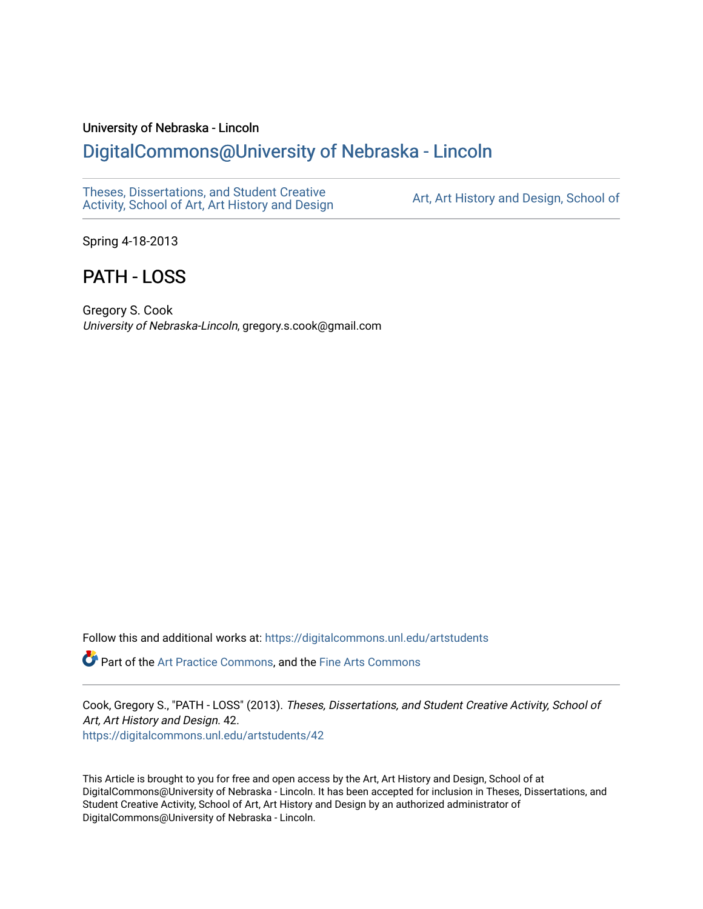## University of Nebraska - Lincoln

## [DigitalCommons@University of Nebraska - Lincoln](https://digitalcommons.unl.edu/)

[Theses, Dissertations, and Student Creative](https://digitalcommons.unl.edu/artstudents)  Theses, Dissertations, and Student Greative Art, Art History and Design, School of<br>Activity, School of Art, Art History and Design

Spring 4-18-2013

# PATH - LOSS

Gregory S. Cook University of Nebraska-Lincoln, gregory.s.cook@gmail.com

Follow this and additional works at: [https://digitalcommons.unl.edu/artstudents](https://digitalcommons.unl.edu/artstudents?utm_source=digitalcommons.unl.edu%2Fartstudents%2F42&utm_medium=PDF&utm_campaign=PDFCoverPages) 

Part of the [Art Practice Commons](http://network.bepress.com/hgg/discipline/509?utm_source=digitalcommons.unl.edu%2Fartstudents%2F42&utm_medium=PDF&utm_campaign=PDFCoverPages), and the [Fine Arts Commons](http://network.bepress.com/hgg/discipline/1141?utm_source=digitalcommons.unl.edu%2Fartstudents%2F42&utm_medium=PDF&utm_campaign=PDFCoverPages) 

Cook, Gregory S., "PATH - LOSS" (2013). Theses, Dissertations, and Student Creative Activity, School of Art, Art History and Design. 42. [https://digitalcommons.unl.edu/artstudents/42](https://digitalcommons.unl.edu/artstudents/42?utm_source=digitalcommons.unl.edu%2Fartstudents%2F42&utm_medium=PDF&utm_campaign=PDFCoverPages)

This Article is brought to you for free and open access by the Art, Art History and Design, School of at DigitalCommons@University of Nebraska - Lincoln. It has been accepted for inclusion in Theses, Dissertations, and Student Creative Activity, School of Art, Art History and Design by an authorized administrator of DigitalCommons@University of Nebraska - Lincoln.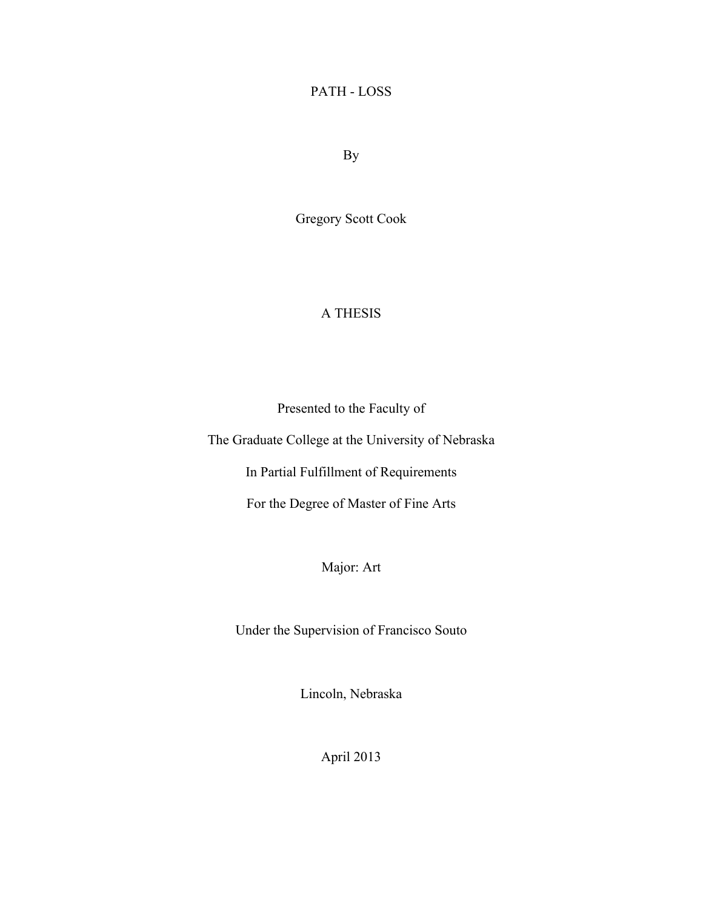## PATH - LOSS

By

Gregory Scott Cook

## A THESIS

Presented to the Faculty of

The Graduate College at the University of Nebraska

In Partial Fulfillment of Requirements

For the Degree of Master of Fine Arts

Major: Art

Under the Supervision of Francisco Souto

Lincoln, Nebraska

April 2013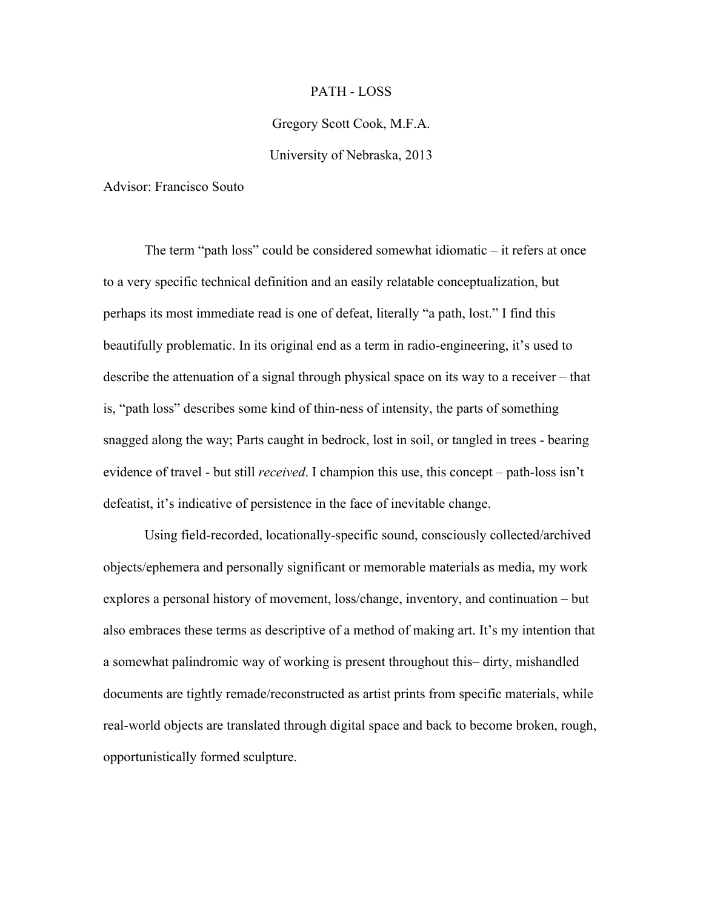### PATH - LOSS

### Gregory Scott Cook, M.F.A.

### University of Nebraska, 2013

Advisor: Francisco Souto

The term "path loss" could be considered somewhat idiomatic – it refers at once to a very specific technical definition and an easily relatable conceptualization, but perhaps its most immediate read is one of defeat, literally "a path, lost." I find this beautifully problematic. In its original end as a term in radio-engineering, it's used to describe the attenuation of a signal through physical space on its way to a receiver – that is, "path loss" describes some kind of thin-ness of intensity, the parts of something snagged along the way; Parts caught in bedrock, lost in soil, or tangled in trees - bearing evidence of travel - but still *received*. I champion this use, this concept – path-loss isn't defeatist, it's indicative of persistence in the face of inevitable change.

Using field-recorded, locationally-specific sound, consciously collected/archived objects/ephemera and personally significant or memorable materials as media, my work explores a personal history of movement, loss/change, inventory, and continuation – but also embraces these terms as descriptive of a method of making art. It's my intention that a somewhat palindromic way of working is present throughout this– dirty, mishandled documents are tightly remade/reconstructed as artist prints from specific materials, while real-world objects are translated through digital space and back to become broken, rough, opportunistically formed sculpture.